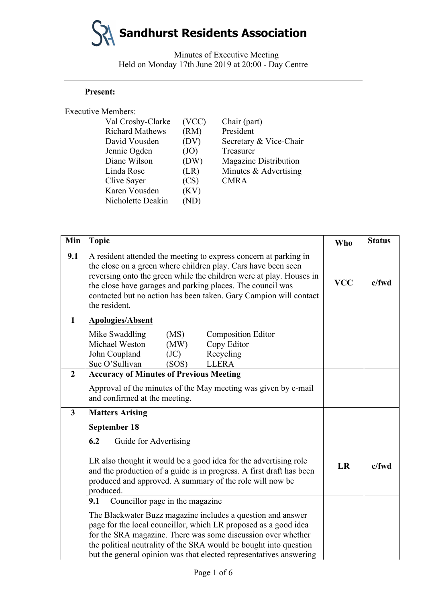Minutes of Executive Meeting Held on Monday 17th June 2019 at 20:00 - Day Centre

#### **Present:**

| <b>Executive Members:</b> |       |                              |
|---------------------------|-------|------------------------------|
| Val Crosby-Clarke         | (VCC) | Chair (part)                 |
| <b>Richard Mathews</b>    | (RM)  | President                    |
| David Vousden             | (DV)  | Secretary & Vice-Chair       |
| Jennie Ogden              | (JO)  | Treasurer                    |
| Diane Wilson              | (DW)  | <b>Magazine Distribution</b> |
| Linda Rose                | (LR)  | Minutes & Advertising        |
| Clive Sayer               | (CS)  | <b>CMRA</b>                  |
| Karen Vousden             | (KV)  |                              |
| Nicholette Deakin         |       |                              |
|                           |       |                              |

| Min                     | <b>Topic</b>                                                                                                                                                                                                                                                                                                                                                 | <b>Who</b> | <b>Status</b> |
|-------------------------|--------------------------------------------------------------------------------------------------------------------------------------------------------------------------------------------------------------------------------------------------------------------------------------------------------------------------------------------------------------|------------|---------------|
| 9.1                     | A resident attended the meeting to express concern at parking in<br>the close on a green where children play. Cars have been seen<br>reversing onto the green while the children were at play. Houses in<br>the close have garages and parking places. The council was<br>contacted but no action has been taken. Gary Campion will contact<br>the resident. |            | $c$ /fwd      |
| $\mathbf 1$             | <b>Apologies/Absent</b>                                                                                                                                                                                                                                                                                                                                      |            |               |
|                         | (MS)<br>Mike Swaddling<br><b>Composition Editor</b><br>Michael Weston<br>Copy Editor<br>(MW)<br>John Coupland<br>Recycling<br>(JC)<br>Sue O'Sullivan<br>(SOS)<br><b>LLERA</b>                                                                                                                                                                                |            |               |
| $\overline{2}$          | <b>Accuracy of Minutes of Previous Meeting</b>                                                                                                                                                                                                                                                                                                               |            |               |
|                         | Approval of the minutes of the May meeting was given by e-mail<br>and confirmed at the meeting.                                                                                                                                                                                                                                                              |            |               |
| $\overline{\mathbf{3}}$ | <b>Matters Arising</b>                                                                                                                                                                                                                                                                                                                                       |            |               |
|                         | September 18<br>6.2<br>Guide for Advertising<br>LR also thought it would be a good idea for the advertising role                                                                                                                                                                                                                                             | LR         | c/fwd         |
|                         | and the production of a guide is in progress. A first draft has been<br>produced and approved. A summary of the role will now be<br>produced.                                                                                                                                                                                                                |            |               |
|                         | Councillor page in the magazine<br>9.1                                                                                                                                                                                                                                                                                                                       |            |               |
|                         | The Blackwater Buzz magazine includes a question and answer<br>page for the local councillor, which LR proposed as a good idea<br>for the SRA magazine. There was some discussion over whether<br>the political neutrality of the SRA would be bought into question<br>but the general opinion was that elected representatives answering                    |            |               |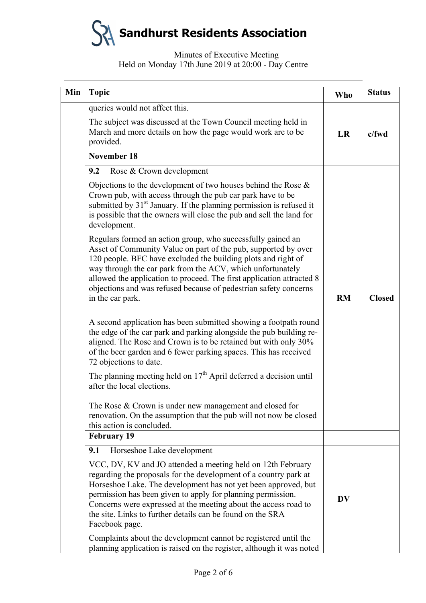# Minutes of Executive Meeting Held on Monday 17th June 2019 at 20:00 - Day Centre

| Min | <b>Topic</b>                                                                                                                                                                                                                                                                                                                                                                                                                  | <b>Who</b> | <b>Status</b> |
|-----|-------------------------------------------------------------------------------------------------------------------------------------------------------------------------------------------------------------------------------------------------------------------------------------------------------------------------------------------------------------------------------------------------------------------------------|------------|---------------|
|     | queries would not affect this.                                                                                                                                                                                                                                                                                                                                                                                                |            |               |
|     | The subject was discussed at the Town Council meeting held in<br>March and more details on how the page would work are to be<br>provided.                                                                                                                                                                                                                                                                                     | LR         | $c$ /fwd      |
|     | <b>November 18</b>                                                                                                                                                                                                                                                                                                                                                                                                            |            |               |
|     | 9.2<br>Rose & Crown development                                                                                                                                                                                                                                                                                                                                                                                               |            |               |
|     | Objections to the development of two houses behind the Rose $\&$<br>Crown pub, with access through the pub car park have to be<br>submitted by 31 <sup>st</sup> January. If the planning permission is refused it<br>is possible that the owners will close the pub and sell the land for<br>development.                                                                                                                     |            |               |
|     | Regulars formed an action group, who successfully gained an<br>Asset of Community Value on part of the pub, supported by over<br>120 people. BFC have excluded the building plots and right of<br>way through the car park from the ACV, which unfortunately<br>allowed the application to proceed. The first application attracted 8<br>objections and was refused because of pedestrian safety concerns<br>in the car park. | <b>RM</b>  | <b>Closed</b> |
|     | A second application has been submitted showing a footpath round<br>the edge of the car park and parking alongside the pub building re-<br>aligned. The Rose and Crown is to be retained but with only 30%<br>of the beer garden and 6 fewer parking spaces. This has received<br>72 objections to date.                                                                                                                      |            |               |
|     | The planning meeting held on $17th$ April deferred a decision until<br>after the local elections.                                                                                                                                                                                                                                                                                                                             |            |               |
|     | The Rose & Crown is under new management and closed for<br>renovation. On the assumption that the pub will not now be closed<br>this action is concluded.                                                                                                                                                                                                                                                                     |            |               |
|     | <b>February 19</b><br>9.1<br>Horseshoe Lake development                                                                                                                                                                                                                                                                                                                                                                       |            |               |
|     |                                                                                                                                                                                                                                                                                                                                                                                                                               |            |               |
|     | VCC, DV, KV and JO attended a meeting held on 12th February<br>regarding the proposals for the development of a country park at<br>Horseshoe Lake. The development has not yet been approved, but<br>permission has been given to apply for planning permission.<br>Concerns were expressed at the meeting about the access road to<br>the site. Links to further details can be found on the SRA<br>Facebook page.           | <b>DV</b>  |               |
|     | Complaints about the development cannot be registered until the<br>planning application is raised on the register, although it was noted                                                                                                                                                                                                                                                                                      |            |               |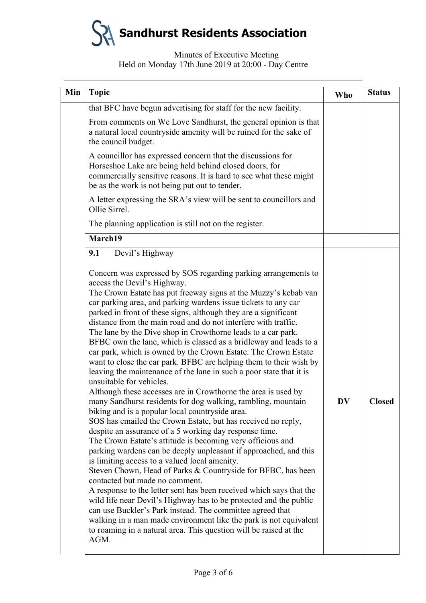#### Minutes of Executive Meeting Held on Monday 17th June 2019 at 20:00 - Day Centre

| Min | <b>Topic</b>                                                                                                                                                                                                                                                                                                                                                                                                                                                                                                                                                                                                                                                                                                                                                                                                                                                                                                                                                                                                                                                                                                                                                                                                                                                                                                                                                                                                                                                                                                                                                                                                                                                                                                                                    | <b>Who</b> | <b>Status</b> |
|-----|-------------------------------------------------------------------------------------------------------------------------------------------------------------------------------------------------------------------------------------------------------------------------------------------------------------------------------------------------------------------------------------------------------------------------------------------------------------------------------------------------------------------------------------------------------------------------------------------------------------------------------------------------------------------------------------------------------------------------------------------------------------------------------------------------------------------------------------------------------------------------------------------------------------------------------------------------------------------------------------------------------------------------------------------------------------------------------------------------------------------------------------------------------------------------------------------------------------------------------------------------------------------------------------------------------------------------------------------------------------------------------------------------------------------------------------------------------------------------------------------------------------------------------------------------------------------------------------------------------------------------------------------------------------------------------------------------------------------------------------------------|------------|---------------|
|     | that BFC have begun advertising for staff for the new facility.                                                                                                                                                                                                                                                                                                                                                                                                                                                                                                                                                                                                                                                                                                                                                                                                                                                                                                                                                                                                                                                                                                                                                                                                                                                                                                                                                                                                                                                                                                                                                                                                                                                                                 |            |               |
|     | From comments on We Love Sandhurst, the general opinion is that<br>a natural local countryside amenity will be ruined for the sake of<br>the council budget.                                                                                                                                                                                                                                                                                                                                                                                                                                                                                                                                                                                                                                                                                                                                                                                                                                                                                                                                                                                                                                                                                                                                                                                                                                                                                                                                                                                                                                                                                                                                                                                    |            |               |
|     | A councillor has expressed concern that the discussions for<br>Horseshoe Lake are being held behind closed doors, for<br>commercially sensitive reasons. It is hard to see what these might<br>be as the work is not being put out to tender.                                                                                                                                                                                                                                                                                                                                                                                                                                                                                                                                                                                                                                                                                                                                                                                                                                                                                                                                                                                                                                                                                                                                                                                                                                                                                                                                                                                                                                                                                                   |            |               |
|     | A letter expressing the SRA's view will be sent to councillors and<br>Ollie Sirrel.                                                                                                                                                                                                                                                                                                                                                                                                                                                                                                                                                                                                                                                                                                                                                                                                                                                                                                                                                                                                                                                                                                                                                                                                                                                                                                                                                                                                                                                                                                                                                                                                                                                             |            |               |
|     | The planning application is still not on the register.                                                                                                                                                                                                                                                                                                                                                                                                                                                                                                                                                                                                                                                                                                                                                                                                                                                                                                                                                                                                                                                                                                                                                                                                                                                                                                                                                                                                                                                                                                                                                                                                                                                                                          |            |               |
|     | March19                                                                                                                                                                                                                                                                                                                                                                                                                                                                                                                                                                                                                                                                                                                                                                                                                                                                                                                                                                                                                                                                                                                                                                                                                                                                                                                                                                                                                                                                                                                                                                                                                                                                                                                                         |            |               |
|     | 9.1<br>Devil's Highway<br>Concern was expressed by SOS regarding parking arrangements to<br>access the Devil's Highway.<br>The Crown Estate has put freeway signs at the Muzzy's kebab van<br>car parking area, and parking wardens issue tickets to any car<br>parked in front of these signs, although they are a significant<br>distance from the main road and do not interfere with traffic.<br>The lane by the Dive shop in Crowthorne leads to a car park.<br>BFBC own the lane, which is classed as a bridleway and leads to a<br>car park, which is owned by the Crown Estate. The Crown Estate<br>want to close the car park. BFBC are helping them to their wish by<br>leaving the maintenance of the lane in such a poor state that it is<br>unsuitable for vehicles.<br>Although these accesses are in Crowthorne the area is used by<br>many Sandhurst residents for dog walking, rambling, mountain<br>biking and is a popular local countryside area.<br>SOS has emailed the Crown Estate, but has received no reply,<br>despite an assurance of a 5 working day response time.<br>The Crown Estate's attitude is becoming very officious and<br>parking wardens can be deeply unpleasant if approached, and this<br>is limiting access to a valued local amenity.<br>Steven Chown, Head of Parks & Countryside for BFBC, has been<br>contacted but made no comment.<br>A response to the letter sent has been received which says that the<br>wild life near Devil's Highway has to be protected and the public<br>can use Buckler's Park instead. The committee agreed that<br>walking in a man made environment like the park is not equivalent<br>to roaming in a natural area. This question will be raised at the<br>AGM. | DV         | <b>Closed</b> |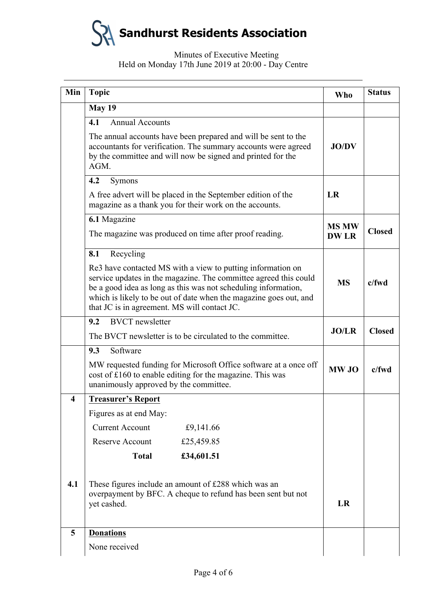# Minutes of Executive Meeting Held on Monday 17th June 2019 at 20:00 - Day Centre

| Min              | <b>Topic</b>                                                                                                                                                                                                                                                                                                           | <b>Who</b>   | <b>Status</b> |
|------------------|------------------------------------------------------------------------------------------------------------------------------------------------------------------------------------------------------------------------------------------------------------------------------------------------------------------------|--------------|---------------|
|                  | <b>May 19</b>                                                                                                                                                                                                                                                                                                          |              |               |
|                  | 4.1<br><b>Annual Accounts</b>                                                                                                                                                                                                                                                                                          |              |               |
|                  | The annual accounts have been prepared and will be sent to the<br>accountants for verification. The summary accounts were agreed<br>by the committee and will now be signed and printed for the<br>AGM.                                                                                                                | <b>JO/DV</b> |               |
|                  | 4.2<br>Symons                                                                                                                                                                                                                                                                                                          |              |               |
|                  | A free advert will be placed in the September edition of the<br>magazine as a thank you for their work on the accounts.                                                                                                                                                                                                |              |               |
|                  | 6.1 Magazine                                                                                                                                                                                                                                                                                                           | <b>MS MW</b> |               |
|                  | The magazine was produced on time after proof reading.                                                                                                                                                                                                                                                                 | <b>DW LR</b> | <b>Closed</b> |
|                  | Recycling<br>8.1                                                                                                                                                                                                                                                                                                       |              |               |
|                  | Re3 have contacted MS with a view to putting information on<br>service updates in the magazine. The committee agreed this could<br>be a good idea as long as this was not scheduling information,<br>which is likely to be out of date when the magazine goes out, and<br>that JC is in agreement. MS will contact JC. | <b>MS</b>    | c/fwd         |
|                  | <b>BVCT</b> newsletter<br>9.2                                                                                                                                                                                                                                                                                          |              |               |
|                  | The BVCT newsletter is to be circulated to the committee.                                                                                                                                                                                                                                                              |              | <b>Closed</b> |
|                  | 9.3<br>Software                                                                                                                                                                                                                                                                                                        |              |               |
|                  | MW requested funding for Microsoft Office software at a once off<br>cost of £160 to enable editing for the magazine. This was<br>unanimously approved by the committee.                                                                                                                                                |              | $c$ /fwd      |
| $\boldsymbol{4}$ | <b>Treasurer's Report</b>                                                                                                                                                                                                                                                                                              |              |               |
|                  | Figures as at end May:                                                                                                                                                                                                                                                                                                 |              |               |
|                  | <b>Current Account</b><br>£9,141.66                                                                                                                                                                                                                                                                                    |              |               |
|                  | Reserve Account<br>£25,459.85                                                                                                                                                                                                                                                                                          |              |               |
|                  | <b>Total</b><br>£34,601.51                                                                                                                                                                                                                                                                                             |              |               |
| 4.1              | These figures include an amount of £288 which was an<br>overpayment by BFC. A cheque to refund has been sent but not<br>yet cashed.                                                                                                                                                                                    |              |               |
| 5                | <b>Donations</b>                                                                                                                                                                                                                                                                                                       |              |               |
|                  | None received                                                                                                                                                                                                                                                                                                          |              |               |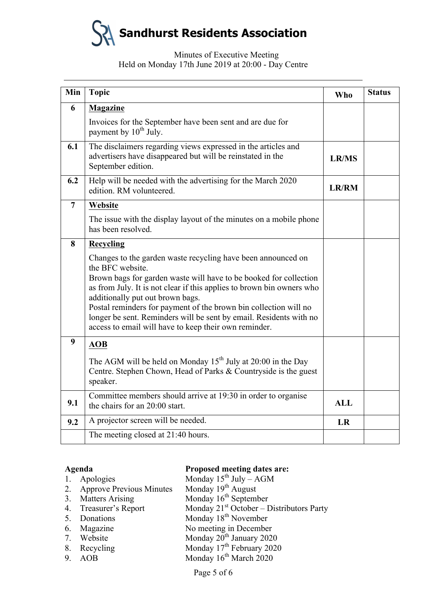# Minutes of Executive Meeting Held on Monday 17th June 2019 at 20:00 - Day Centre

| Min            | <b>Topic</b>                                                                                                                                                                                                                                                                                                                                                                                                                                                          | <b>Who</b>   | <b>Status</b> |
|----------------|-----------------------------------------------------------------------------------------------------------------------------------------------------------------------------------------------------------------------------------------------------------------------------------------------------------------------------------------------------------------------------------------------------------------------------------------------------------------------|--------------|---------------|
| 6              | <b>Magazine</b>                                                                                                                                                                                                                                                                                                                                                                                                                                                       |              |               |
|                | Invoices for the September have been sent and are due for<br>payment by 10 <sup>th</sup> July.                                                                                                                                                                                                                                                                                                                                                                        |              |               |
| 6.1            | The disclaimers regarding views expressed in the articles and<br>advertisers have disappeared but will be reinstated in the<br>September edition.                                                                                                                                                                                                                                                                                                                     | <b>LR/MS</b> |               |
| 6.2            | Help will be needed with the advertising for the March 2020<br>edition. RM volunteered.                                                                                                                                                                                                                                                                                                                                                                               | <b>LR/RM</b> |               |
| $\overline{7}$ | Website                                                                                                                                                                                                                                                                                                                                                                                                                                                               |              |               |
|                | The issue with the display layout of the minutes on a mobile phone<br>has been resolved.                                                                                                                                                                                                                                                                                                                                                                              |              |               |
| 8              | Recycling                                                                                                                                                                                                                                                                                                                                                                                                                                                             |              |               |
|                | Changes to the garden waste recycling have been announced on<br>the BFC website.<br>Brown bags for garden waste will have to be booked for collection<br>as from July. It is not clear if this applies to brown bin owners who<br>additionally put out brown bags.<br>Postal reminders for payment of the brown bin collection will no<br>longer be sent. Reminders will be sent by email. Residents with no<br>access to email will have to keep their own reminder. |              |               |
| 9              | <b>AOB</b>                                                                                                                                                                                                                                                                                                                                                                                                                                                            |              |               |
|                | The AGM will be held on Monday $15^{th}$ July at 20:00 in the Day<br>Centre. Stephen Chown, Head of Parks & Countryside is the guest<br>speaker.                                                                                                                                                                                                                                                                                                                      |              |               |
| 9.1            | Committee members should arrive at 19:30 in order to organise<br>the chairs for an 20:00 start.                                                                                                                                                                                                                                                                                                                                                                       | <b>ALL</b>   |               |
| 9.2            | A projector screen will be needed.                                                                                                                                                                                                                                                                                                                                                                                                                                    | <b>LR</b>    |               |
|                | The meeting closed at 21:40 hours.                                                                                                                                                                                                                                                                                                                                                                                                                                    |              |               |

#### **Agenda Proposed meeting dates are:**

|    | 1. Apologies                    | Monday $15^{th}$ July – AGM                 |
|----|---------------------------------|---------------------------------------------|
| 2. | <b>Approve Previous Minutes</b> | Monday $19th$ August                        |
| 3. | <b>Matters Arising</b>          | Monday $16th$ September                     |
|    | 4. Treasurer's Report           | Monday $21st October – Distributions Party$ |
|    | 5. Donations                    | Monday 18 <sup>th</sup> November            |
|    | 6. Magazine                     | No meeting in December                      |
|    | 7. Website                      | Monday 20 <sup>th</sup> January 2020        |
|    | 8. Recycling                    | Monday 17 <sup>th</sup> February 2020       |
| 9. | AOB                             | Monday 16 <sup>th</sup> March 2020          |
|    |                                 |                                             |